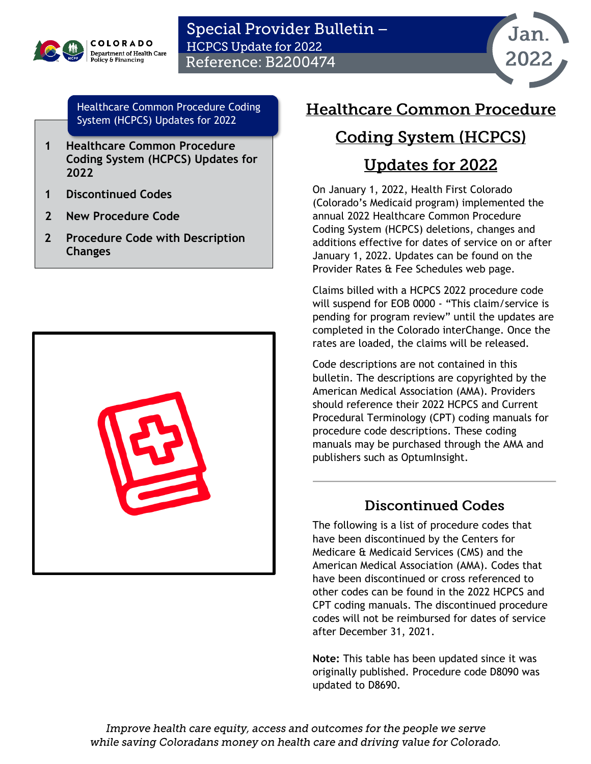

### Special Provider Bulletin -**HCPCS Update for 2022 Reference: B2200474**



[Healthcare Common Procedure Coding](#page-0-0)  [System \(HCPCS\) Updates for 2022](#page-0-0)

- **[1](#page-0-0) [Healthcare Common Procedure](#page-0-0)  [Coding System \(HCPCS\) Updates for](#page-0-0)  [2022](#page-0-0)**
- **[1](#page-0-1) [Discontinued Codes](#page-0-1)**
- **[2](#page-1-0) [New Procedure Code](#page-1-0)**
- **[2](#page-1-0) [Procedure Code with Description](#page-2-0)  [Changes](#page-2-0)**



### <span id="page-0-0"></span>**Healthcare Common Procedure**

## **Coding System (HCPCS)**

# **Updates for 2022**

On January 1, 2022, Health First Colorado (Colorado's Medicaid program) implemented the annual 2022 Healthcare Common Procedure Coding System (HCPCS) deletions, changes and additions effective for dates of service on or after January 1, 2022. Updates can be found on the Provider Rates & Fee Schedules web page.

Claims billed with a HCPCS 2022 procedure code will suspend for EOB 0000 - "This claim/service is pending for program review" until the updates are completed in the Colorado interChange. Once the rates are loaded, the claims will be released.

Code descriptions are not contained in this bulletin. The descriptions are copyrighted by the American Medical Association (AMA). Providers should reference their 2022 HCPCS and Current Procedural Terminology (CPT) coding manuals for procedure code descriptions. These coding manuals may be purchased through the AMA and publishers such as OptumInsight.

#### **Discontinued Codes**

<span id="page-0-1"></span>The following is a list of procedure codes that have been discontinued by the Centers for Medicare & Medicaid Services (CMS) and the American Medical Association (AMA). Codes that have been discontinued or cross referenced to other codes can be found in the 2022 HCPCS and CPT coding manuals. The discontinued procedure codes will not be reimbursed for dates of service after December 31, 2021.

**Note:** This table has been updated since it was originally published. Procedure code D8090 was updated to D8690.

Improve health care equity, access and outcomes for the people we serve while saving Coloradans money on health care and driving value for Colorado.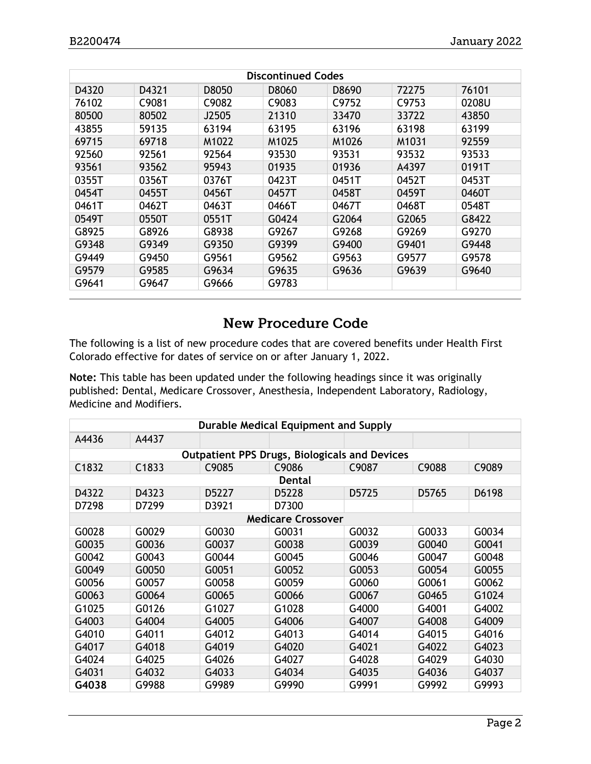| <b>Discontinued Codes</b> |                   |       |                   |       |                   |       |
|---------------------------|-------------------|-------|-------------------|-------|-------------------|-------|
| D4320                     | D4321             | D8050 | D8060             | D8690 | 72275             | 76101 |
| 76102                     | C <sub>9081</sub> | C9082 | C9083             | C9752 | C9753             | 0208U |
| 80500                     | 80502             | J2505 | 21310             | 33470 | 33722             | 43850 |
| 43855                     | 59135             | 63194 | 63195             | 63196 | 63198             | 63199 |
| 69715                     | 69718             | M1022 | M <sub>1025</sub> | M1026 | M1031             | 92559 |
| 92560                     | 92561             | 92564 | 93530             | 93531 | 93532             | 93533 |
| 93561                     | 93562             | 95943 | 01935             | 01936 | A4397             | 0191T |
| 0355T                     | 0356T             | 0376T | 0423T             | 0451T | 0452T             | 0453T |
| 0454T                     | 0455T             | 0456T | 0457T             | 0458T | 0459T             | 0460T |
| 0461T                     | 0462T             | 0463T | 0466T             | 0467T | 0468T             | 0548T |
| 0549T                     | 0550T             | 0551T | G0424             | G2064 | G <sub>2065</sub> | G8422 |
| G8925                     | G8926             | G8938 | G9267             | G9268 | G9269             | G9270 |
| G9348                     | G9349             | G9350 | G9399             | G9400 | G9401             | G9448 |
| G9449                     | G9450             | G9561 | G9562             | G9563 | G9577             | G9578 |
| G9579                     | G9585             | G9634 | G9635             | G9636 | G9639             | G9640 |
| G9641                     | G9647             | G9666 | G9783             |       |                   |       |

#### **New Procedure Code**

<span id="page-1-0"></span>The following is a list of new procedure codes that are covered benefits under Health First Colorado effective for dates of service on or after January 1, 2022.

**Note:** This table has been updated under the following headings since it was originally published: Dental, Medicare Crossover, Anesthesia, Independent Laboratory, Radiology, Medicine and Modifiers.

| Durable Medical Equipment and Supply                 |                   |       |        |       |       |       |  |  |
|------------------------------------------------------|-------------------|-------|--------|-------|-------|-------|--|--|
| A4436                                                | A4437             |       |        |       |       |       |  |  |
| <b>Outpatient PPS Drugs, Biologicals and Devices</b> |                   |       |        |       |       |       |  |  |
| C1832                                                | C <sub>1833</sub> | C9085 | C9086  | C9087 | C9088 | C9089 |  |  |
|                                                      |                   |       | Dental |       |       |       |  |  |
| D4322                                                | D4323             | D5227 | D5228  | D5725 | D5765 | D6198 |  |  |
| D7298                                                | D7299             | D3921 | D7300  |       |       |       |  |  |
| <b>Medicare Crossover</b>                            |                   |       |        |       |       |       |  |  |
| G0028                                                | G0029             | G0030 | G0031  | G0032 | G0033 | G0034 |  |  |
| G0035                                                | G0036             | G0037 | G0038  | G0039 | G0040 | G0041 |  |  |
| G0042                                                | G0043             | G0044 | G0045  | G0046 | G0047 | G0048 |  |  |
| G0049                                                | G0050             | G0051 | G0052  | G0053 | G0054 | G0055 |  |  |
| G0056                                                | G0057             | G0058 | G0059  | G0060 | G0061 | G0062 |  |  |
| G0063                                                | G0064             | G0065 | G0066  | G0067 | G0465 | G1024 |  |  |
| G1025                                                | G0126             | G1027 | G1028  | G4000 | G4001 | G4002 |  |  |
| G4003                                                | G4004             | G4005 | G4006  | G4007 | G4008 | G4009 |  |  |
| G4010                                                | G4011             | G4012 | G4013  | G4014 | G4015 | G4016 |  |  |
| G4017                                                | G4018             | G4019 | G4020  | G4021 | G4022 | G4023 |  |  |
| G4024                                                | G4025             | G4026 | G4027  | G4028 | G4029 | G4030 |  |  |
| G4031                                                | G4032             | G4033 | G4034  | G4035 | G4036 | G4037 |  |  |
| G4038                                                | G9988             | G9989 | G9990  | G9991 | G9992 | G9993 |  |  |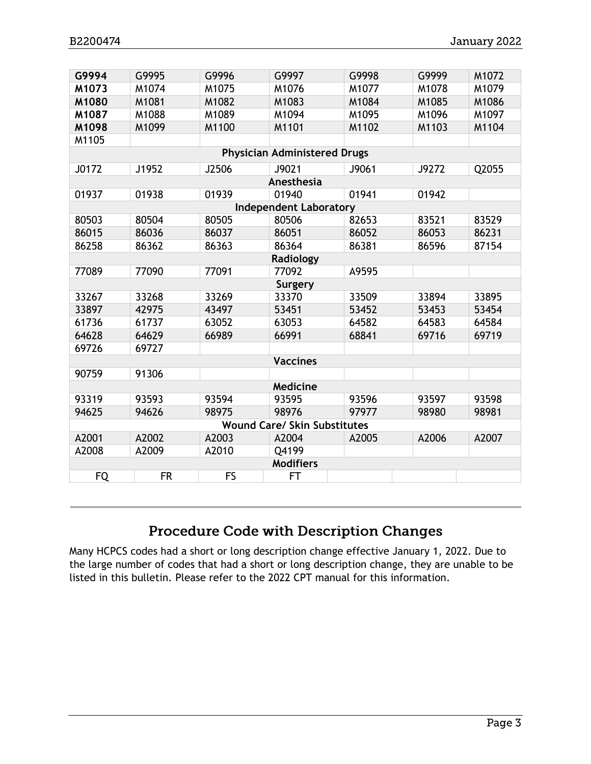| G9994                               | G9995     | G9996     | G9997           | G9998 | G9999 | M1072 |  |  |
|-------------------------------------|-----------|-----------|-----------------|-------|-------|-------|--|--|
| M1073                               | M1074     | M1075     | M1076           | M1077 | M1078 | M1079 |  |  |
| M1080                               | M1081     | M1082     | M1083           | M1084 | M1085 | M1086 |  |  |
| M1087                               | M1088     | M1089     | M1094           | M1095 | M1096 | M1097 |  |  |
| M1098                               | M1099     | M1100     | M1101           | M1102 | M1103 | M1104 |  |  |
| M1105                               |           |           |                 |       |       |       |  |  |
| <b>Physician Administered Drugs</b> |           |           |                 |       |       |       |  |  |
| J0172                               | J1952     | J2506     | J9021           | J9061 | J9272 | Q2055 |  |  |
| Anesthesia                          |           |           |                 |       |       |       |  |  |
| 01937                               | 01938     | 01939     | 01940           | 01941 | 01942 |       |  |  |
| <b>Independent Laboratory</b>       |           |           |                 |       |       |       |  |  |
| 80503                               | 80504     | 80505     | 80506           | 82653 | 83521 | 83529 |  |  |
| 86015                               | 86036     | 86037     | 86051           | 86052 | 86053 | 86231 |  |  |
| 86258                               | 86362     | 86363     | 86364           | 86381 | 86596 | 87154 |  |  |
|                                     |           |           | Radiology       |       |       |       |  |  |
| 77089                               | 77090     | 77091     | 77092           | A9595 |       |       |  |  |
|                                     |           |           | Surgery         |       |       |       |  |  |
| 33267                               | 33268     | 33269     | 33370           | 33509 | 33894 | 33895 |  |  |
| 33897                               | 42975     | 43497     | 53451           | 53452 | 53453 | 53454 |  |  |
| 61736                               | 61737     | 63052     | 63053           | 64582 | 64583 | 64584 |  |  |
| 64628                               | 64629     | 66989     | 66991           | 68841 | 69716 | 69719 |  |  |
| 69726                               | 69727     |           |                 |       |       |       |  |  |
|                                     |           |           | <b>Vaccines</b> |       |       |       |  |  |
| 90759                               | 91306     |           |                 |       |       |       |  |  |
| Medicine                            |           |           |                 |       |       |       |  |  |
| 93319                               | 93593     | 93594     | 93595           | 93596 | 93597 | 93598 |  |  |
| 94625                               | 94626     | 98975     | 98976           | 97977 | 98980 | 98981 |  |  |
| <b>Wound Care/ Skin Substitutes</b> |           |           |                 |       |       |       |  |  |
| A2001                               | A2002     | A2003     | A2004           | A2005 | A2006 | A2007 |  |  |
| A2008                               | A2009     | A2010     | Q4199           |       |       |       |  |  |
| <b>Modifiers</b>                    |           |           |                 |       |       |       |  |  |
| <b>FQ</b>                           | <b>FR</b> | <b>FS</b> | FT              |       |       |       |  |  |

### Procedure Code with Description Changes

<span id="page-2-0"></span>Many HCPCS codes had a short or long description change effective January 1, 2022. Due to the large number of codes that had a short or long description change, they are unable to be listed in this bulletin. Please refer to the 2022 CPT manual for this information.